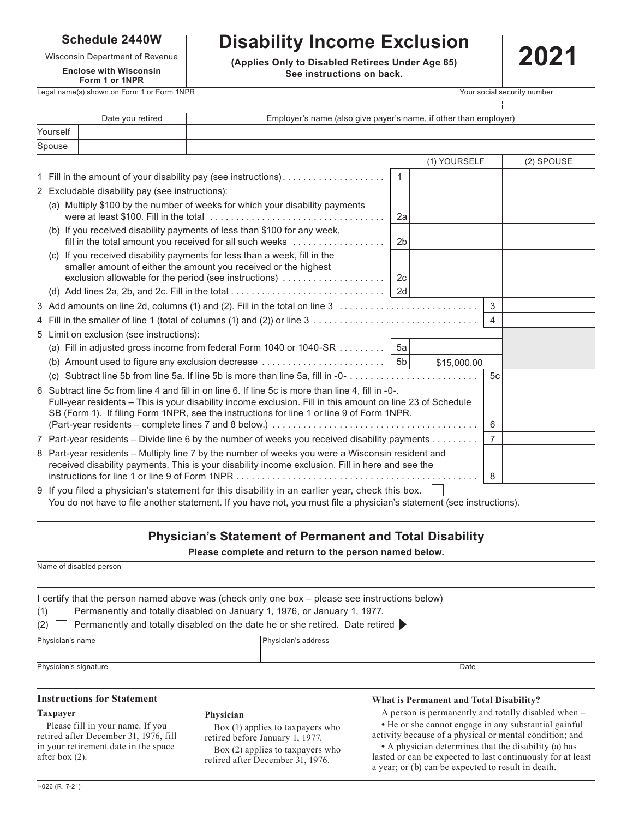### **Schedule 2440W**

### **Enclose with Wisconsin Form 1 or 1NPR**

# **Disability Income Exclusion**

Wisconsin Department of Revenue **2021**<br> **Enclose with Wisconsin See instructions on back.**



Legal name(s) shown on Form 1 or Form 1NPR Your social security number

|          | Employer's name (also give payer's name, if other than employer)<br>Date you retired |              |              |
|----------|--------------------------------------------------------------------------------------|--------------|--------------|
| Yourself |                                                                                      |              |              |
| Spouse   |                                                                                      |              |              |
|          |                                                                                      | (1) YOURSELF | $(2)$ SPOUSE |

|                                                                                                                                                                                                                                                                                                               | 1 Fill in the amount of your disability pay (see instructions)                                                                                                                                        | $\overline{1}$ |             |                |  |
|---------------------------------------------------------------------------------------------------------------------------------------------------------------------------------------------------------------------------------------------------------------------------------------------------------------|-------------------------------------------------------------------------------------------------------------------------------------------------------------------------------------------------------|----------------|-------------|----------------|--|
|                                                                                                                                                                                                                                                                                                               | 2 Excludable disability pay (see instructions):                                                                                                                                                       |                |             |                |  |
|                                                                                                                                                                                                                                                                                                               | (a) Multiply \$100 by the number of weeks for which your disability payments                                                                                                                          | 2a             |             |                |  |
|                                                                                                                                                                                                                                                                                                               | (b) If you received disability payments of less than \$100 for any week,<br>fill in the total amount you received for all such weeks                                                                  | 2 <sub>b</sub> |             |                |  |
|                                                                                                                                                                                                                                                                                                               | (c) If you received disability payments for less than a week, fill in the<br>smaller amount of either the amount you received or the highest<br>exclusion allowable for the period (see instructions) | 2c             |             |                |  |
|                                                                                                                                                                                                                                                                                                               |                                                                                                                                                                                                       |                |             |                |  |
|                                                                                                                                                                                                                                                                                                               |                                                                                                                                                                                                       |                |             | 3              |  |
|                                                                                                                                                                                                                                                                                                               | 4 Fill in the smaller of line 1 (total of columns (1) and (2)) or line 3                                                                                                                              |                |             | $\overline{4}$ |  |
| 5 Limit on exclusion (see instructions):                                                                                                                                                                                                                                                                      |                                                                                                                                                                                                       |                |             |                |  |
|                                                                                                                                                                                                                                                                                                               | (a) Fill in adjusted gross income from federal Form 1040 or 1040-SR                                                                                                                                   | - 5а           |             |                |  |
|                                                                                                                                                                                                                                                                                                               | (b) Amount used to figure any exclusion decrease $\ldots \ldots \ldots \ldots \ldots \ldots$   5b                                                                                                     |                | \$15,000.00 |                |  |
|                                                                                                                                                                                                                                                                                                               | (c)                                                                                                                                                                                                   |                |             | 5c             |  |
| 6 Subtract line 5c from line 4 and fill in on line 6. If line 5c is more than line 4, fill in -0-.<br>Full-year residents - This is your disability income exclusion. Fill in this amount on line 23 of Schedule<br>SB (Form 1). If filing Form 1NPR, see the instructions for line 1 or line 9 of Form 1NPR. |                                                                                                                                                                                                       |                |             | 6              |  |
| 7 Part-year residents – Divide line 6 by the number of weeks you received disability payments                                                                                                                                                                                                                 |                                                                                                                                                                                                       |                | 7           |                |  |
| 8 Part-year residents - Multiply line 7 by the number of weeks you were a Wisconsin resident and<br>received disability payments. This is your disability income exclusion. Fill in here and see the                                                                                                          |                                                                                                                                                                                                       |                |             | 8              |  |
|                                                                                                                                                                                                                                                                                                               | 9 If you filed a physician's statement for this disability in an earlier year, check this box.                                                                                                        |                |             |                |  |

You do not have to file another statement. If you have not, you must file a physician's statement (see instructions).

## **Physician's Statement of Permanent and Total Disability**

**Please complete and return to the person named below.**

| Name of disabled person                                                                                           |                                                                                                                                                            |                                                                                                                                                                         |  |  |  |  |  |  |
|-------------------------------------------------------------------------------------------------------------------|------------------------------------------------------------------------------------------------------------------------------------------------------------|-------------------------------------------------------------------------------------------------------------------------------------------------------------------------|--|--|--|--|--|--|
| I certify that the person named above was (check only one box - please see instructions below)<br>(1)<br>(2)      | Permanently and totally disabled on January 1, 1976, or January 1, 1977.<br>Permanently and totally disabled on the date he or she retired. Date retired ▶ |                                                                                                                                                                         |  |  |  |  |  |  |
| Physician's name                                                                                                  | Physician's address                                                                                                                                        |                                                                                                                                                                         |  |  |  |  |  |  |
| Physician's signature                                                                                             |                                                                                                                                                            | Date                                                                                                                                                                    |  |  |  |  |  |  |
| <b>Instructions for Statement</b>                                                                                 |                                                                                                                                                            | What is Permanent and Total Disability?                                                                                                                                 |  |  |  |  |  |  |
| <b>Taxpayer</b>                                                                                                   | Physician                                                                                                                                                  | A person is permanently and totally disabled when –                                                                                                                     |  |  |  |  |  |  |
| Please fill in your name. If you<br>retired after December 31, 1976, fill<br>in your retirement date in the space | Box (1) applies to taxpayers who<br>retired before January 1, 1977.<br>Box (2) applies to taxpayers who                                                    | • He or she cannot engage in any substantial gainful<br>activity because of a physical or mental condition; and<br>• A physician determines that the disability (a) has |  |  |  |  |  |  |

Box (2) applies to taxpayers who retired after December 31, 1976.

**•** A physician determines that the disability (a) has lasted or can be expected to last continuously for at least a year; or (b) can be expected to result in death.

after box (2).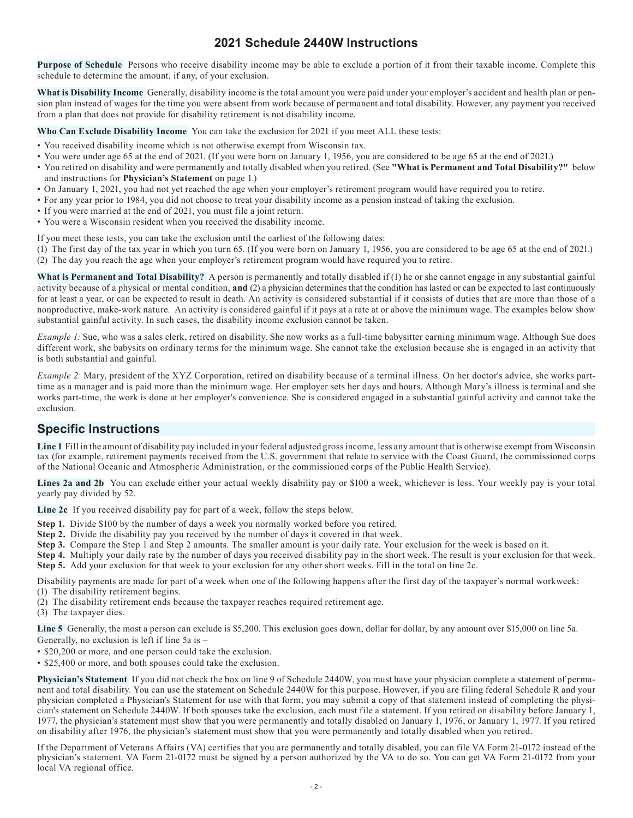### **2021 Schedule 2440W Instructions**

**Purpose of Schedule** Persons who receive disability income may be able to exclude a portion of it from their taxable income. Complete this schedule to determine the amount, if any, of your exclusion.

**What is Disability Income** Generally, disability income is the total amount you were paid under your employer's accident and health plan or pension plan instead of wages for the time you were absent from work because of permanent and total disability. However, any payment you received from a plan that does not provide for disability retirement is not disability income.

**Who Can Exclude Disability Income** You can take the exclusion for 2021 if you meet ALL these tests:

- You received disability income which is not otherwise exempt from Wisconsin tax.
- You were under age 65 at the end of 2021. (If you were born on January 1, 1956, you are considered to be age 65 at the end of 2021.)
- You retired on disability and were permanently and totally disabled when you retired. (See **"What is Permanent and Total Disability?"** below and instructions for **Physician's Statement** on page 1.)
- On January 1, 2021, you had not yet reached the age when your employer's retirement program would have required you to retire.
- For any year prior to 1984, you did not choose to treat your disability income as a pension instead of taking the exclusion.
- If you were married at the end of 2021, you must file a joint return.
- You were a Wisconsin resident when you received the disability income.

If you meet these tests, you can take the exclusion until the earliest of the following dates:

(1) The first day of the tax year in which you turn 65. (If you were born on January 1, 1956, you are considered to be age 65 at the end of 2021.) (2) The day you reach the age when your employer's retirement program would have required you to retire.

**What is Permanent and Total Disability?** A person is permanently and totally disabled if (1) he or she cannot engage in any substantial gainful activity because of a physical or mental condition, **and** (2) a physician determines that the condition has lasted or can be expected to last continuously for at least a year, or can be expected to result in death. An activity is considered substantial if it consists of duties that are more than those of a nonproductive, make-work nature. An activity is considered gainful if it pays at a rate at or above the minimum wage. The examples below show substantial gainful activity. In such cases, the disability income exclusion cannot be taken.

*Example 1*: Sue, who was a sales clerk, retired on disability. She now works as a full-time babysitter earning minimum wage. Although Sue does different work, she babysits on ordinary terms for the minimum wage. She cannot take the exclusion because she is engaged in an activity that is both substantial and gainful.

*Example 2:* Mary, president of the XYZ Corporation, retired on disability because of a terminal illness. On her doctor's advice, she works parttime as a manager and is paid more than the minimum wage. Her employer sets her days and hours. Although Mary's illness is terminal and she works part-time, the work is done at her employer's convenience. She is considered engaged in a substantial gainful activity and cannot take the exclusion.

### **Specific Instructions**

**Line 1** Fill in the amount of disability pay included in your federal adjusted gross income, less any amount that is otherwise exempt from Wisconsin tax (for example, retirement payments received from the U.S. government that relate to service with the Coast Guard, the commissioned corps of the National Oceanic and Atmospheric Administration, or the commissioned corps of the Public Health Service).

**Lines 2a and 2b** You can exclude either your actual weekly disability pay or \$100 a week, whichever is less. Your weekly pay is your total yearly pay divided by 52.

**Line 2c** If you received disability pay for part of a week, follow the steps below.

- **Step 1.** Divide \$100 by the number of days a week you normally worked before you retired.
- **Step 2.** Divide the disability pay you received by the number of days it covered in that week.
- **Step 3.** Compare the Step 1 and Step 2 amounts. The smaller amount is your daily rate. Your exclusion for the week is based on it.
- **Step 4.** Multiply your daily rate by the number of days you received disability pay in the short week. The result is your exclusion for that week. **Step 5.** Add your exclusion for that week to your exclusion for any other short weeks. Fill in the total on line 2c.

Disability payments are made for part of a week when one of the following happens after the first day of the taxpayer's normal workweek: (1) The disability retirement begins.

- (2) The disability retirement ends because the taxpayer reaches required retirement age.
- (3) The taxpayer dies.

**Line 5** Generally, the most a person can exclude is \$5,200. This exclusion goes down, dollar for dollar, by any amount over \$15,000 on line 5a. Generally, no exclusion is left if line 5a is –

- \$20,200 or more, and one person could take the exclusion.
- \$25,400 or more, and both spouses could take the exclusion.

**Physician's Statement** If you did not check the box on line 9 of Schedule 2440W, you must have your physician complete a statement of permanent and total disability. You can use the statement on Schedule 2440W for this purpose. However, if you are filing federal Schedule R and your physician completed a Physician's Statement for use with that form, you may submit a copy of that statement instead of completing the physician's statement on Schedule 2440W. If both spouses take the exclusion, each must file a statement. If you retired on disability before January 1, 1977, the physician's statement must show that you were permanently and totally disabled on January 1, 1976, or January 1, 1977. If you retired on disability after 1976, the physician's statement must show that you were permanently and totally disabled when you retired.

If the Department of Veterans Affairs (VA) certifies that you are permanently and totally disabled, you can file VA Form 21-0172 instead of the physician's statement. VA Form 21-0172 must be signed by a person authorized by the VA to do so. You can get VA Form 21-0172 from your local VA regional office.